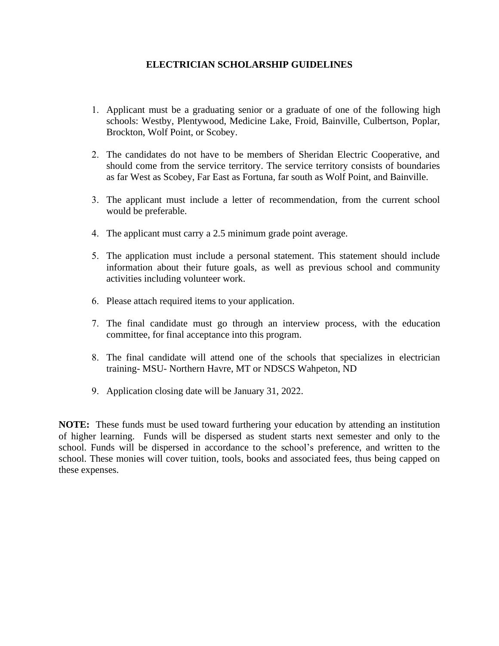## **ELECTRICIAN SCHOLARSHIP GUIDELINES**

- 1. Applicant must be a graduating senior or a graduate of one of the following high schools: Westby, Plentywood, Medicine Lake, Froid, Bainville, Culbertson, Poplar, Brockton, Wolf Point, or Scobey.
- 2. The candidates do not have to be members of Sheridan Electric Cooperative, and should come from the service territory. The service territory consists of boundaries as far West as Scobey, Far East as Fortuna, far south as Wolf Point, and Bainville.
- 3. The applicant must include a letter of recommendation, from the current school would be preferable.
- 4. The applicant must carry a 2.5 minimum grade point average.
- 5. The application must include a personal statement. This statement should include information about their future goals, as well as previous school and community activities including volunteer work.
- 6. Please attach required items to your application.
- 7. The final candidate must go through an interview process, with the education committee, for final acceptance into this program.
- 8. The final candidate will attend one of the schools that specializes in electrician training- MSU- Northern Havre, MT or NDSCS Wahpeton, ND
- 9. Application closing date will be January 31, 2022.

**NOTE:** These funds must be used toward furthering your education by attending an institution of higher learning. Funds will be dispersed as student starts next semester and only to the school. Funds will be dispersed in accordance to the school's preference, and written to the school. These monies will cover tuition, tools, books and associated fees, thus being capped on these expenses.